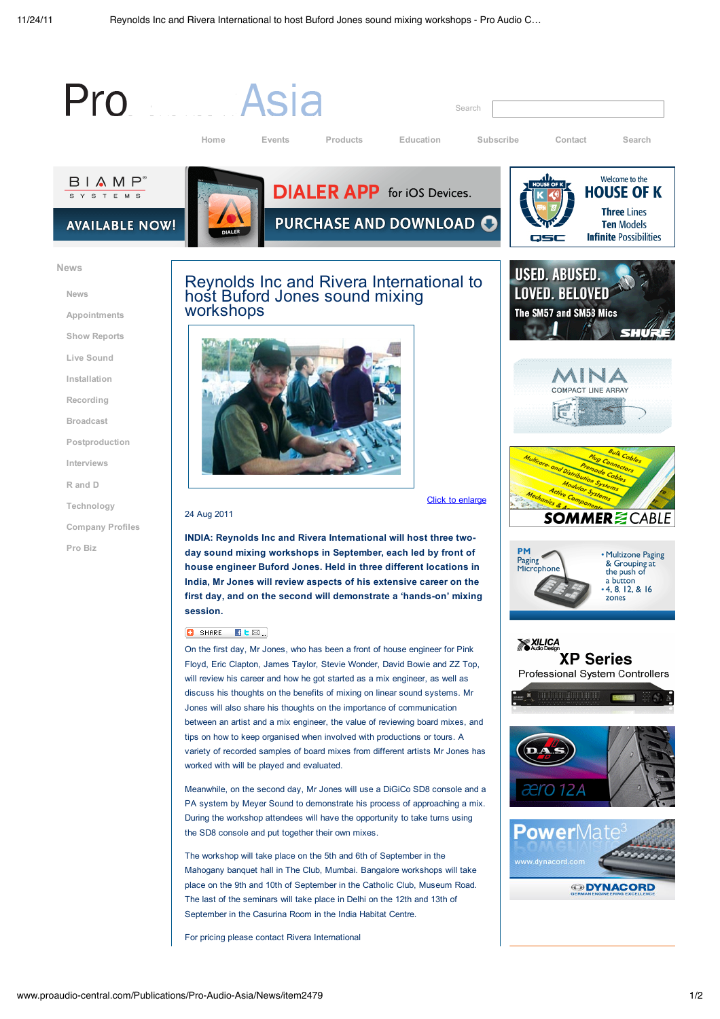